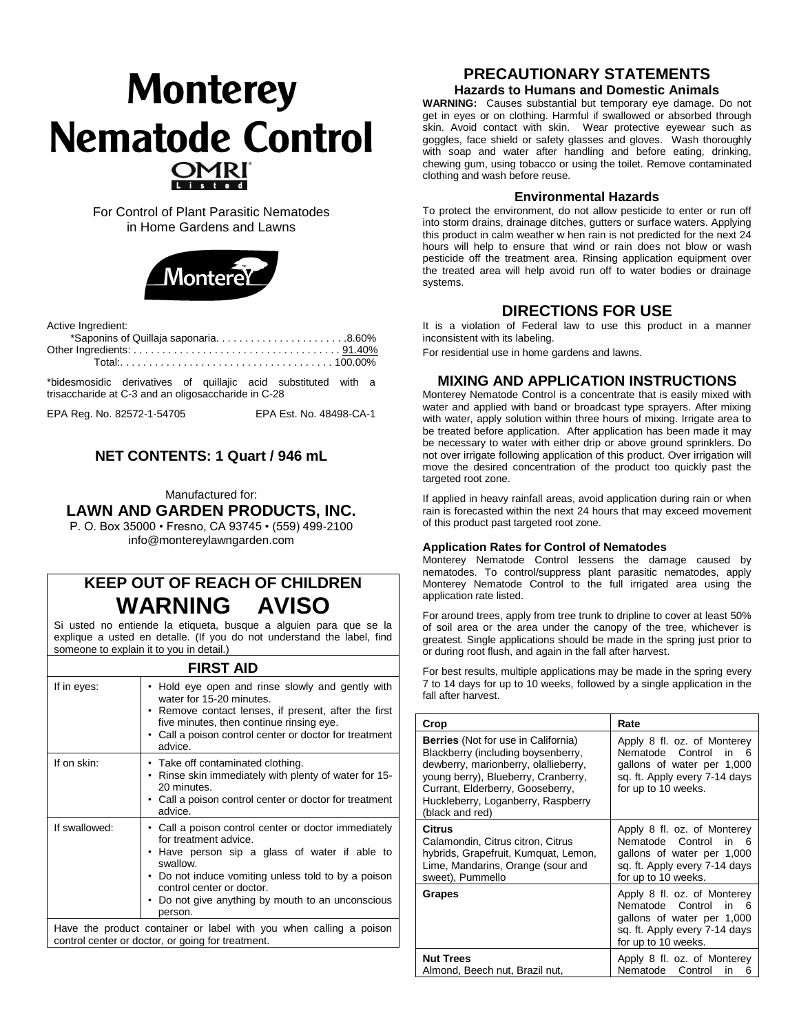# **Monterey Nematode Control**

For Control of Plant Parasitic Nematodes in Home Gardens and Lawns



Active Ingredient:

\*bidesmosidic derivatives of quillajic acid substituted with a trisaccharide at C-3 and an oligosaccharide in C-28

EPA Reg. No. 82572-1-54705 EPA Est. No. 48498-CA-1

# **NET CONTENTS: 1 Quart / 946 mL**

Manufactured for:

## **LAWN AND GARDEN PRODUCTS, INC.**

P. O. Box 35000 • Fresno, CA 93745 • (559) 499-2100 info@montereylawngarden.com

# **KEEP OUT OF REACH OF CHILDREN WARNING AVISO**

Si usted no entiende la etiqueta, busque a alguien para que se la explique a usted en detalle. (If you do not understand the label, find someone to explain it to you in detail.)

# **FIRST AID**

| If in eyes:                                                        | • Hold eye open and rinse slowly and gently with<br>water for 15-20 minutes.<br>• Remove contact lenses, if present, after the first<br>five minutes, then continue rinsing eye.<br>• Call a poison control center or doctor for treatment<br>advice.                                          |  |
|--------------------------------------------------------------------|------------------------------------------------------------------------------------------------------------------------------------------------------------------------------------------------------------------------------------------------------------------------------------------------|--|
| If on skin:                                                        | • Take off contaminated clothing.<br>• Rinse skin immediately with plenty of water for 15-<br>20 minutes.<br>• Call a poison control center or doctor for treatment<br>advice.                                                                                                                 |  |
| If swallowed:                                                      | • Call a poison control center or doctor immediately<br>for treatment advice.<br>• Have person sip a glass of water if able to<br>swallow.<br>• Do not induce vomiting unless told to by a poison<br>control center or doctor.<br>• Do not give anything by mouth to an unconscious<br>person. |  |
| Have the product container or label with you when calling a poison |                                                                                                                                                                                                                                                                                                |  |

Have the product container or label with you when calling a po control center or doctor, or going for treatment.

# **PRECAUTIONARY STATEMENTS**

**Hazards to Humans and Domestic Animals**

**WARNING:** Causes substantial but temporary eye damage. Do not get in eyes or on clothing. Harmful if swallowed or absorbed through skin. Avoid contact with skin. Wear protective eyewear such as goggles, face shield or safety glasses and gloves. Wash thoroughly with soap and water after handling and before eating, drinking, chewing gum, using tobacco or using the toilet. Remove contaminated clothing and wash before reuse.

#### **Environmental Hazards**

To protect the environment, do not allow pesticide to enter or run off into storm drains, drainage ditches, gutters or surface waters. Applying this product in calm weather w hen rain is not predicted for the next 24 hours will help to ensure that wind or rain does not blow or wash pesticide off the treatment area. Rinsing application equipment over the treated area will help avoid run off to water bodies or drainage systems.

# **DIRECTIONS FOR USE**

It is a violation of Federal law to use this product in a manner inconsistent with its labeling.

For residential use in home gardens and lawns.

### **MIXING AND APPLICATION INSTRUCTIONS**

Monterey Nematode Control is a concentrate that is easily mixed with water and applied with band or broadcast type sprayers. After mixing with water, apply solution within three hours of mixing. Irrigate area to be treated before application. After application has been made it may be necessary to water with either drip or above ground sprinklers. Do not over irrigate following application of this product. Over irrigation will move the desired concentration of the product too quickly past the targeted root zone.

If applied in heavy rainfall areas, avoid application during rain or when rain is forecasted within the next 24 hours that may exceed movement of this product past targeted root zone.

#### **Application Rates for Control of Nematodes**

Monterey Nematode Control lessens the damage caused by nematodes. To control/suppress plant parasitic nematodes, apply Monterey Nematode Control to the full irrigated area using the application rate listed.

For around trees, apply from tree trunk to dripline to cover at least 50% of soil area or the area under the canopy of the tree, whichever is greatest. Single applications should be made in the spring just prior to or during root flush, and again in the fall after harvest.

For best results, multiple applications may be made in the spring every 7 to 14 days for up to 10 weeks, followed by a single application in the fall after harvest.

| Crop                                                                                                                                                                                                                                                         | Rate                                                                                                                                               |
|--------------------------------------------------------------------------------------------------------------------------------------------------------------------------------------------------------------------------------------------------------------|----------------------------------------------------------------------------------------------------------------------------------------------------|
| <b>Berries</b> (Not for use in California)<br>Blackberry (including boysenberry,<br>dewberry, marionberry, olallieberry,<br>young berry), Blueberry, Cranberry,<br>Currant, Elderberry, Gooseberry,<br>Huckleberry, Loganberry, Raspberry<br>(black and red) | Apply 8 fl. oz. of Monterey<br>Nematode Control<br>in<br>ิค<br>gallons of water per 1,000<br>sq. ft. Apply every 7-14 days<br>for up to 10 weeks.  |
| Citrus<br>Calamondin, Citrus citron, Citrus<br>hybrids, Grapefruit, Kumquat, Lemon,<br>Lime, Mandarins, Orange (sour and<br>sweet), Pummello                                                                                                                 | Apply 8 fl. oz. of Monterey<br>Nematode Control<br>in l<br>հ<br>gallons of water per 1,000<br>sq. ft. Apply every 7-14 days<br>for up to 10 weeks. |
| Grapes                                                                                                                                                                                                                                                       | Apply 8 fl. oz. of Monterey<br>Nematode Control<br>in<br>6<br>gallons of water per 1,000<br>sq. ft. Apply every 7-14 days<br>for up to 10 weeks.   |
| <b>Nut Trees</b><br>Almond, Beech nut, Brazil nut,                                                                                                                                                                                                           | Apply 8 fl. oz. of Monterey<br>Nematode<br>Control<br>in<br>6                                                                                      |